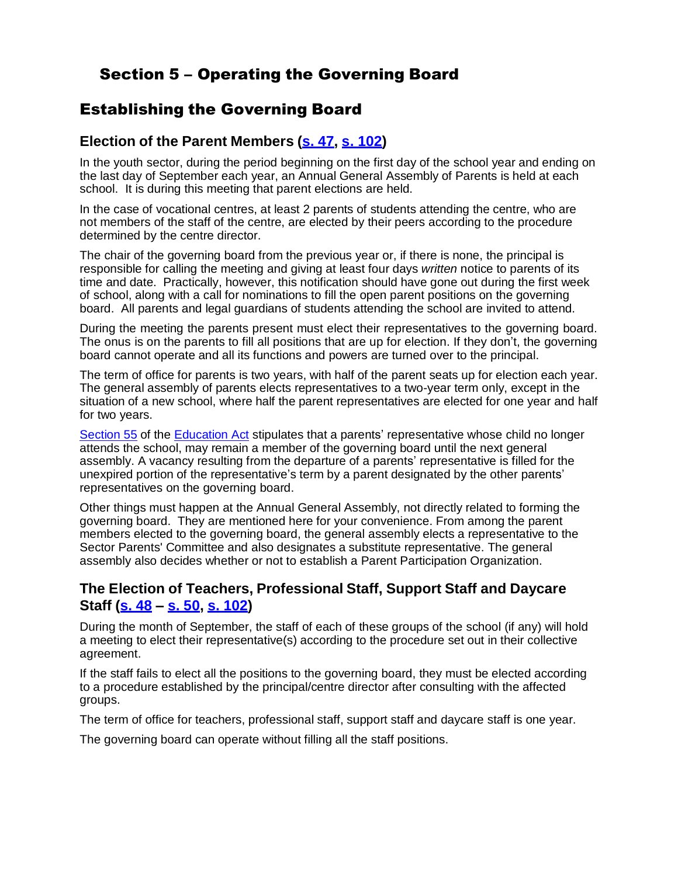## Section 5 – Operating the Governing Board

### Establishing the Governing Board

#### **Election of the Parent Members (s. 47, s. 102)**

In the youth sector, during the period beginning on the first day of the school year and ending on the last day of September each year, an Annual General Assembly of Parents is held at each school. It is during this meeting that parent elections are held.

In the case of vocational centres, at least 2 parents of students attending the centre, who are not members of the staff of the centre, are elected by their peers according to the procedure determined by the centre director.

The chair of the governing board from the previous year or, if there is none, the principal is responsible for calling the meeting and giving at least four days *written* notice to parents of its time and date. Practically, however, this notification should have gone out during the first week of school, along with a call for nominations to fill the open parent positions on the governing board. All parents and legal guardians of students attending the school are invited to attend.

During the meeting the parents present must elect their representatives to the governing board. The onus is on the parents to fill all positions that are up for election. If they don't, the governing board cannot operate and all its functions and powers are turned over to the principal.

The term of office for parents is two years, with half of the parent seats up for election each year. The general assembly of parents elects representatives to a two-year term only, except in the situation of a new school, where half the parent representatives are elected for one year and half for two years.

Section 55 of the Education Act stipulates that a parents' representative whose child no longer attends the school, may remain a member of the governing board until the next general assembly. A vacancy resulting from the departure of a parents' representative is filled for the unexpired portion of the representative's term by a parent designated by the other parents' representatives on the governing board.

Other things must happen at the Annual General Assembly, not directly related to forming the governing board. They are mentioned here for your convenience. From among the parent members elected to the governing board, the general assembly elects a representative to the Sector Parents' Committee and also designates a substitute representative. The general assembly also decides whether or not to establish a Parent Participation Organization.

#### **The Election of Teachers, Professional Staff, Support Staff and Daycare Staff (s. 48 – s. 50, s. 102)**

During the month of September, the staff of each of these groups of the school (if any) will hold a meeting to elect their representative(s) according to the procedure set out in their collective agreement.

If the staff fails to elect all the positions to the governing board, they must be elected according to a procedure established by the principal/centre director after consulting with the affected groups.

The term of office for teachers, professional staff, support staff and daycare staff is one year.

The governing board can operate without filling all the staff positions.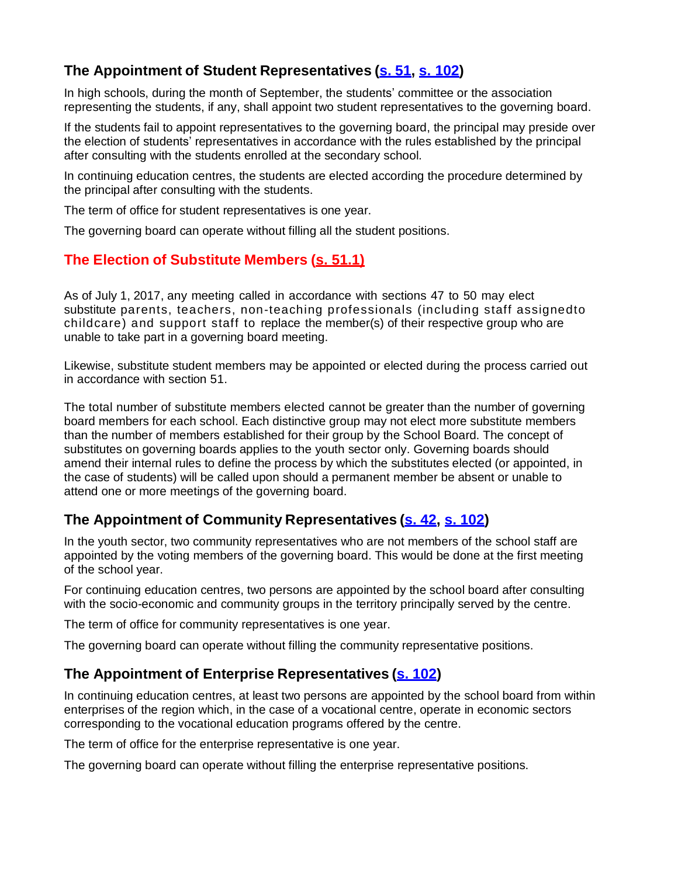#### **The Appointment of Student Representatives (s. 51, s. 102)**

In high schools, during the month of September, the students' committee or the association representing the students, if any, shall appoint two student representatives to the governing board.

If the students fail to appoint representatives to the governing board, the principal may preside over the election of students' representatives in accordance with the rules established by the principal after consulting with the students enrolled at the secondary school.

In continuing education centres, the students are elected according the procedure determined by the principal after consulting with the students.

The term of office for student representatives is one year.

The governing board can operate without filling all the student positions.

#### **The Election of Substitute Members (s. 51.1)**

As of July 1, 2017, any meeting called in accordance with sections 47 to 50 may elect substitute parents, teachers, non-teaching professionals (including staff assignedto childcare) and support staff to replace the member(s) of their respective group who are unable to take part in a governing board meeting.

Likewise, substitute student members may be appointed or elected during the process carried out in accordance with section 51.

The total number of substitute members elected cannot be greater than the number of governing board members for each school. Each distinctive group may not elect more substitute members than the number of members established for their group by the School Board. The concept of substitutes on governing boards applies to the youth sector only. Governing boards should amend their internal rules to define the process by which the substitutes elected (or appointed, in the case of students) will be called upon should a permanent member be absent or unable to attend one or more meetings of the governing board.

#### **The Appointment of Community Representatives (s. 42, s. 102)**

In the youth sector, two community representatives who are not members of the school staff are appointed by the voting members of the governing board. This would be done at the first meeting of the school year.

For continuing education centres, two persons are appointed by the school board after consulting with the socio-economic and community groups in the territory principally served by the centre.

The term of office for community representatives is one year.

The governing board can operate without filling the community representative positions.

#### **The Appointment of Enterprise Representatives (s. 102)**

In continuing education centres, at least two persons are appointed by the school board from within enterprises of the region which, in the case of a vocational centre, operate in economic sectors corresponding to the vocational education programs offered by the centre.

The term of office for the enterprise representative is one year.

The governing board can operate without filling the enterprise representative positions.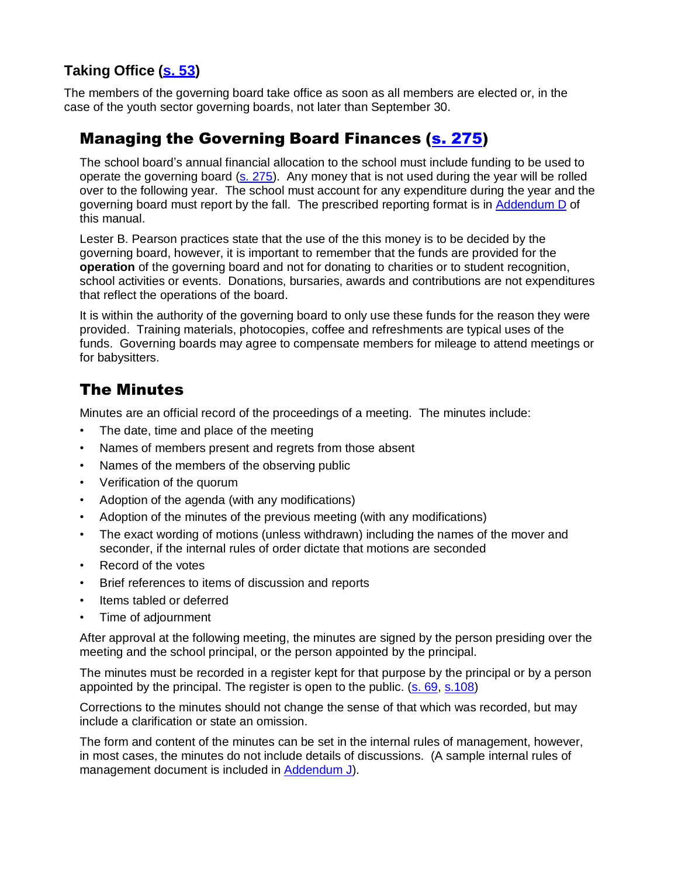### **Taking Office (s. 53)**

The members of the governing board take office as soon as all members are elected or, in the case of the youth sector governing boards, not later than September 30.

### Managing the Governing Board Finances (s. 275)

The school board's annual financial allocation to the school must include funding to be used to operate the governing board  $(s. 275)$ . Any money that is not used during the year will be rolled over to the following year. The school must account for any expenditure during the year and the governing board must report by the fall. The prescribed reporting format is in Addendum D of this manual.

Lester B. Pearson practices state that the use of the this money is to be decided by the governing board, however, it is important to remember that the funds are provided for the **operation** of the governing board and not for donating to charities or to student recognition, school activities or events. Donations, bursaries, awards and contributions are not expenditures that reflect the operations of the board.

It is within the authority of the governing board to only use these funds for the reason they were provided. Training materials, photocopies, coffee and refreshments are typical uses of the funds. Governing boards may agree to compensate members for mileage to attend meetings or for babysitters.

## The Minutes

Minutes are an official record of the proceedings of a meeting. The minutes include:

- The date, time and place of the meeting
- Names of members present and regrets from those absent
- Names of the members of the observing public
- Verification of the quorum
- Adoption of the agenda (with any modifications)
- Adoption of the minutes of the previous meeting (with any modifications)
- The exact wording of motions (unless withdrawn) including the names of the mover and seconder, if the internal rules of order dictate that motions are seconded
- Record of the votes
- Brief references to items of discussion and reports
- Items tabled or deferred
- Time of adjournment

After approval at the following meeting, the minutes are signed by the person presiding over the meeting and the school principal, or the person appointed by the principal.

The minutes must be recorded in a register kept for that purpose by the principal or by a person appointed by the principal. The register is open to the public.  $(s. 69, s.108)$ 

Corrections to the minutes should not change the sense of that which was recorded, but may include a clarification or state an omission.

The form and content of the minutes can be set in the internal rules of management, however, in most cases, the minutes do not include details of discussions. (A sample internal rules of management document is included in Addendum J).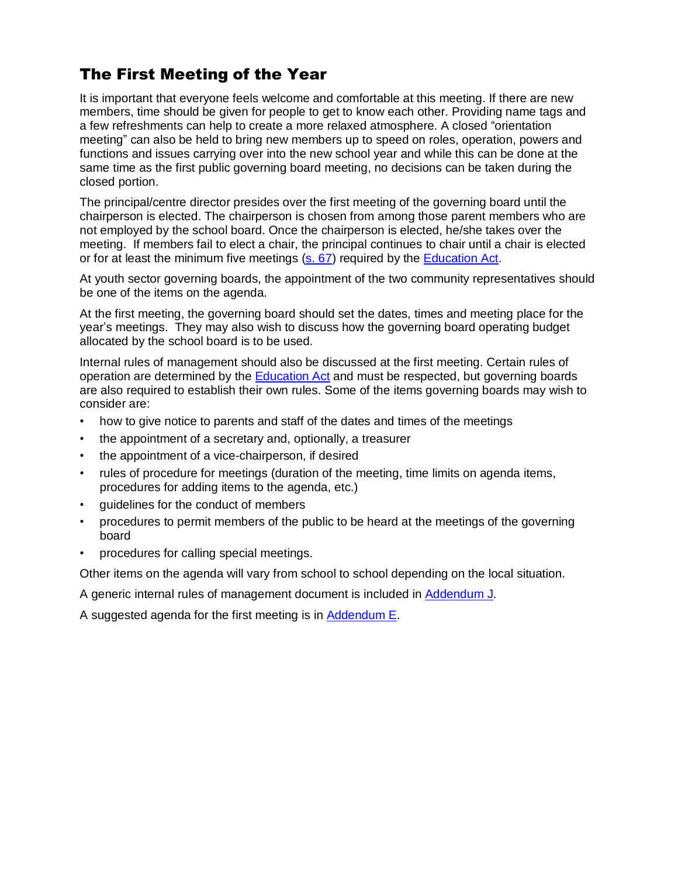# The First Meeting of the Year

It is important that everyone feels welcome and comfortable at this meeting. If there are new members, time should be given for people to get to know each other. Providing name tags and a few refreshments can help to create a more relaxed atmosphere. A closed "orientation meeting" can also be held to bring new members up to speed on roles, operation, powers and functions and issues carrying over into the new school year and while this can be done at the same time as the first public governing board meeting, no decisions can be taken during the closed portion.

The principal/centre director presides over the first meeting of the governing board until the chairperson is elected. The chairperson is chosen from among those parent members who are not employed by the school board. Once the chairperson is elected, he/she takes over the meeting. If members fail to elect a chair, the principal continues to chair until a chair is elected or for at least the minimum five meetings (s. 67) required by the Education Act.

At youth sector governing boards, the appointment of the two community representatives should be one of the items on the agenda.

At the first meeting, the governing board should set the dates, times and meeting place for the year's meetings. They may also wish to discuss how the governing board operating budget allocated by the school board is to be used.

Internal rules of management should also be discussed at the first meeting. Certain rules of operation are determined by the Education Act and must be respected, but governing boards are also required to establish their own rules. Some of the items governing boards may wish to consider are:

- how to give notice to parents and staff of the dates and times of the meetings
- the appointment of a secretary and, optionally, a treasurer
- the appointment of a vice-chairperson, if desired
- rules of procedure for meetings (duration of the meeting, time limits on agenda items, procedures for adding items to the agenda, etc.)
- quidelines for the conduct of members
- procedures to permit members of the public to be heard at the meetings of the governing board
- procedures for calling special meetings.

Other items on the agenda will vary from school to school depending on the local situation.

A generic internal rules of management document is included in Addendum J.

A suggested agenda for the first meeting is in Addendum E.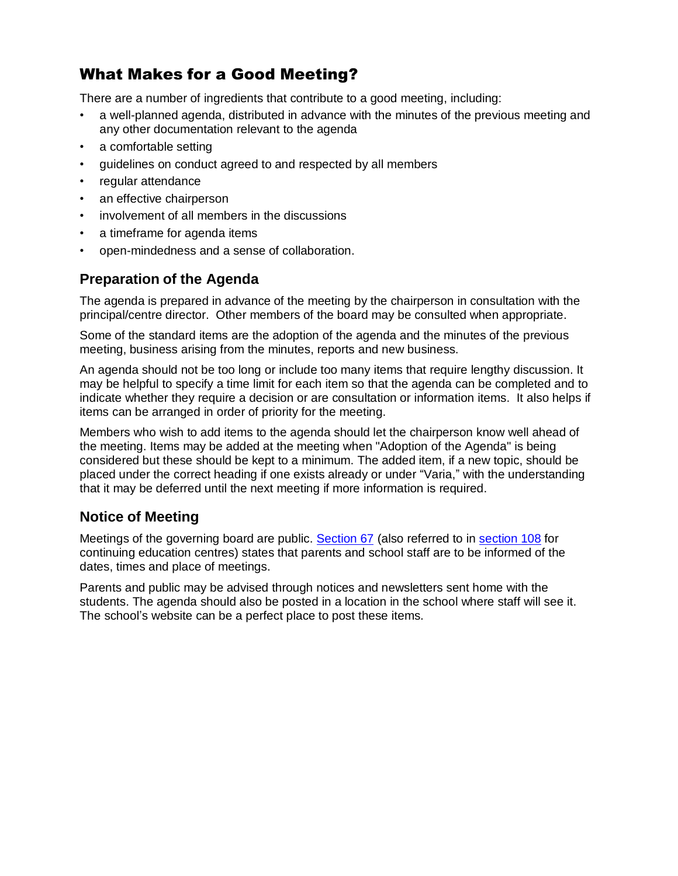# What Makes for a Good Meeting?

There are a number of ingredients that contribute to a good meeting, including:

- a well-planned agenda, distributed in advance with the minutes of the previous meeting and any other documentation relevant to the agenda
- a comfortable setting
- guidelines on conduct agreed to and respected by all members
- regular attendance
- an effective chairperson
- involvement of all members in the discussions
- a timeframe for agenda items
- open-mindedness and a sense of collaboration.

#### **Preparation of the Agenda**

The agenda is prepared in advance of the meeting by the chairperson in consultation with the principal/centre director. Other members of the board may be consulted when appropriate.

Some of the standard items are the adoption of the agenda and the minutes of the previous meeting, business arising from the minutes, reports and new business.

An agenda should not be too long or include too many items that require lengthy discussion. It may be helpful to specify a time limit for each item so that the agenda can be completed and to indicate whether they require a decision or are consultation or information items. It also helps if items can be arranged in order of priority for the meeting.

Members who wish to add items to the agenda should let the chairperson know well ahead of the meeting. Items may be added at the meeting when "Adoption of the Agenda" is being considered but these should be kept to a minimum. The added item, if a new topic, should be placed under the correct heading if one exists already or under "Varia," with the understanding that it may be deferred until the next meeting if more information is required.

#### **Notice of Meeting**

Meetings of the governing board are public. Section 67 (also referred to in section 108 for continuing education centres) states that parents and school staff are to be informed of the dates, times and place of meetings.

Parents and public may be advised through notices and newsletters sent home with the students. The agenda should also be posted in a location in the school where staff will see it. The school's website can be a perfect place to post these items.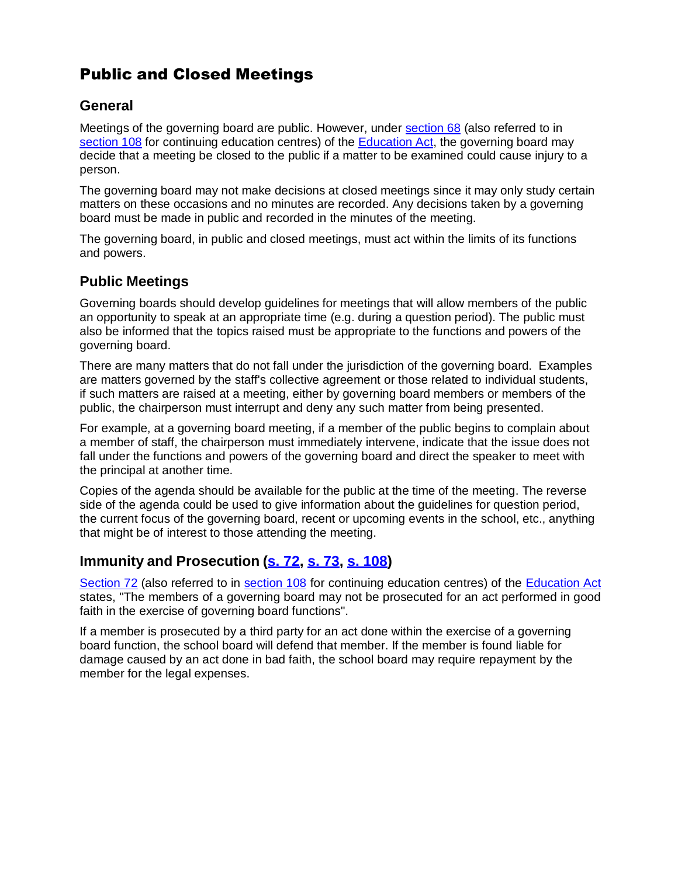# Public and Closed Meetings

#### **General**

Meetings of the governing board are public. However, under section 68 (also referred to in section 108 for continuing education centres) of the Education Act, the governing board may decide that a meeting be closed to the public if a matter to be examined could cause injury to a person.

The governing board may not make decisions at closed meetings since it may only study certain matters on these occasions and no minutes are recorded. Any decisions taken by a governing board must be made in public and recorded in the minutes of the meeting.

The governing board, in public and closed meetings, must act within the limits of its functions and powers.

#### **Public Meetings**

Governing boards should develop guidelines for meetings that will allow members of the public an opportunity to speak at an appropriate time (e.g. during a question period). The public must also be informed that the topics raised must be appropriate to the functions and powers of the governing board.

There are many matters that do not fall under the jurisdiction of the governing board. Examples are matters governed by the staff's collective agreement or those related to individual students, if such matters are raised at a meeting, either by governing board members or members of the public, the chairperson must interrupt and deny any such matter from being presented.

For example, at a governing board meeting, if a member of the public begins to complain about a member of staff, the chairperson must immediately intervene, indicate that the issue does not fall under the functions and powers of the governing board and direct the speaker to meet with the principal at another time.

Copies of the agenda should be available for the public at the time of the meeting. The reverse side of the agenda could be used to give information about the guidelines for question period, the current focus of the governing board, recent or upcoming events in the school, etc., anything that might be of interest to those attending the meeting.

#### **Immunity and Prosecution (s. 72, s. 73, s. 108)**

Section 72 (also referred to in section 108 for continuing education centres) of the Education Act states, "The members of a governing board may not be prosecuted for an act performed in good faith in the exercise of governing board functions".

If a member is prosecuted by a third party for an act done within the exercise of a governing board function, the school board will defend that member. If the member is found liable for damage caused by an act done in bad faith, the school board may require repayment by the member for the legal expenses.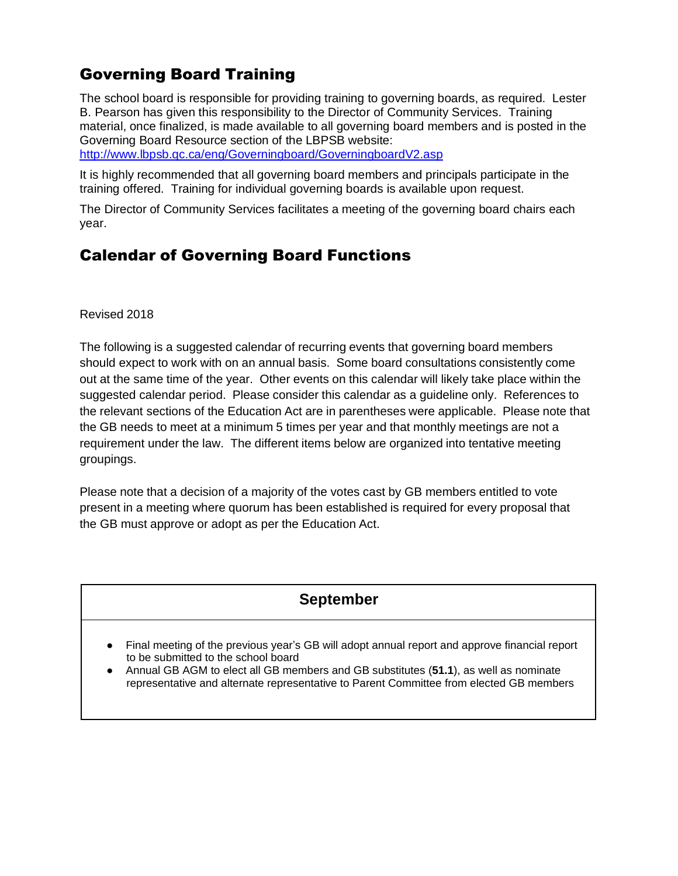# Governing Board Training

The school board is responsible for providing training to governing boards, as required. Lester B. Pearson has given this responsibility to the Director of Community Services. Training material, once finalized, is made available to all governing board members and is posted in the Governing Board Resource section of the LBPSB website:

http://www.lbpsb.qc.ca/eng/Governingboard/GoverningboardV2.asp

It is highly recommended that all governing board members and principals participate in the training offered. Training for individual governing boards is available upon request.

The Director of Community Services facilitates a meeting of the governing board chairs each year.

# Calendar of Governing Board Functions

Revised 2018

The following is a suggested calendar of recurring events that governing board members should expect to work with on an annual basis. Some board consultations consistently come out at the same time of the year. Other events on this calendar will likely take place within the suggested calendar period. Please consider this calendar as a guideline only. References to the relevant sections of the Education Act are in parentheses were applicable. Please note that the GB needs to meet at a minimum 5 times per year and that monthly meetings are not a requirement under the law. The different items below are organized into tentative meeting groupings.

Please note that a decision of a majority of the votes cast by GB members entitled to vote present in a meeting where quorum has been established is required for every proposal that the GB must approve or adopt as per the Education Act.

## **September**

- Final meeting of the previous year's GB will adopt annual report and approve financial report to be submitted to the school board
- Annual GB AGM to elect all GB members and GB substitutes (**51.1**), as well as nominate representative and alternate representative to Parent Committee from elected GB members